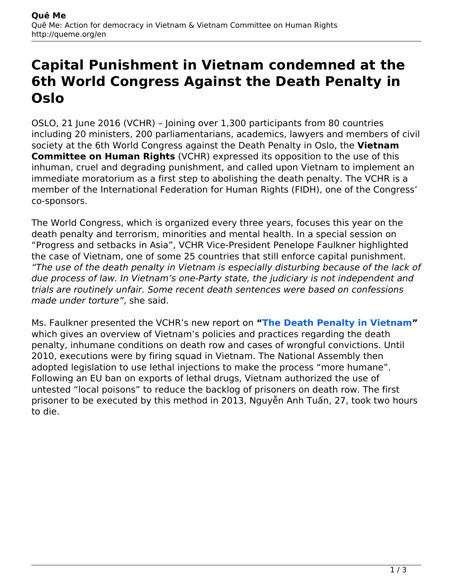## **Capital Punishment in Vietnam condemned at the 6th World Congress Against the Death Penalty in Oslo**

OSLO, 21 June 2016 (VCHR) – Joining over 1,300 participants from 80 countries including 20 ministers, 200 parliamentarians, academics, lawyers and members of civil society at the 6th World Congress against the Death Penalty in Oslo, the **Vietnam Committee on Human Rights** (VCHR) expressed its opposition to the use of this inhuman, cruel and degrading punishment, and called upon Vietnam to implement an immediate moratorium as a first step to abolishing the death penalty. The VCHR is a member of the International Federation for Human Rights (FIDH), one of the Congress' co-sponsors.

The World Congress, which is organized every three years, focuses this year on the death penalty and terrorism, minorities and mental health. In a special session on "Progress and setbacks in Asia", VCHR Vice-President Penelope Faulkner highlighted the case of Vietnam, one of some 25 countries that still enforce capital punishment. *"The use of the death penalty in Vietnam is especially disturbing because of the lack of due process of law. In Vietnam's one-Party state, the judiciary is not independent and trials are routinely unfair. Some recent death sentences were based on confessions made under torture"*, she said.

Ms. Faulkner presented the VCHR's new report on **"[The Death Penalty in Vietnam](http://queme.org//app/uploads/2016/06/The-Death-Penalty-in-Vietnam-VCHR-2016.pdf)"** which gives an overview of Vietnam's policies and practices regarding the death penalty, inhumane conditions on death row and cases of wrongful convictions. Until 2010, executions were by firing squad in Vietnam. The National Assembly then adopted legislation to use lethal injections to make the process "more humane". Following an EU ban on exports of lethal drugs, Vietnam authorized the use of untested "local poisons" to reduce the backlog of prisoners on death row. The first prisoner to be executed by this method in 2013, Nguyễn Anh Tuấn, 27, took two hours to die.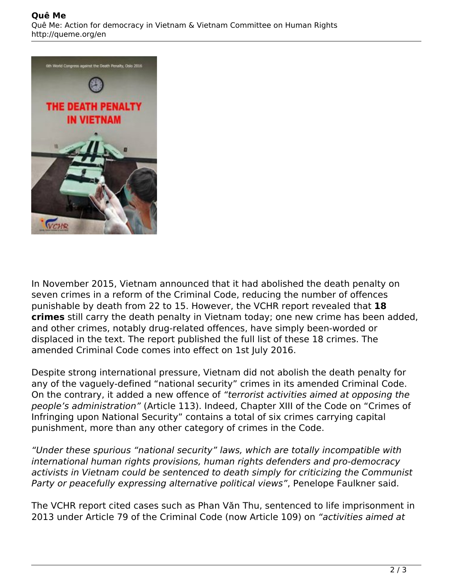

In November 2015, Vietnam announced that it had abolished the death penalty on seven crimes in a reform of the Criminal Code, reducing the number of offences punishable by death from 22 to 15. However, the VCHR report revealed that **18 crimes** still carry the death penalty in Vietnam today; one new crime has been added, and other crimes, notably drug-related offences, have simply been-worded or displaced in the text. The report published the full list of these 18 crimes. The amended Criminal Code comes into effect on 1st July 2016.

Despite strong international pressure, Vietnam did not abolish the death penalty for any of the vaguely-defined "national security" crimes in its amended Criminal Code. On the contrary, it added a new offence of *"terrorist activities aimed at opposing the people's administration"* (Article 113). Indeed, Chapter XIII of the Code on "Crimes of Infringing upon National Security" contains a total of six crimes carrying capital punishment, more than any other category of crimes in the Code.

*"Under these spurious "national security" laws, which are totally incompatible with international human rights provisions, human rights defenders and pro-democracy activists in Vietnam could be sentenced to death simply for criticizing the Communist Party or peacefully expressing alternative political views"*, Penelope Faulkner said.

The VCHR report cited cases such as Phan Văn Thu, sentenced to life imprisonment in 2013 under Article 79 of the Criminal Code (now Article 109) on *"activities aimed at*